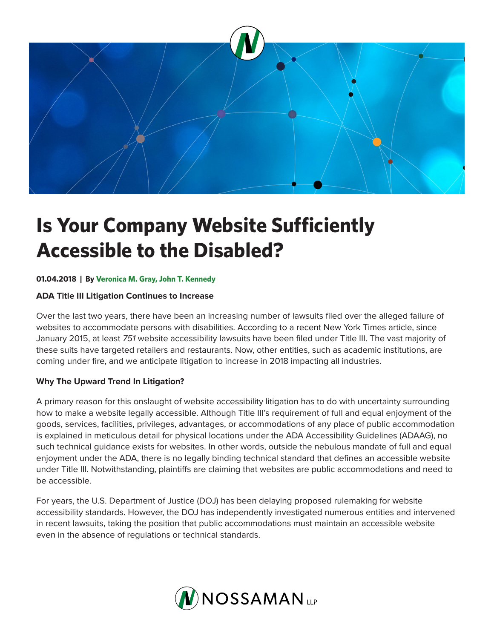

# **Is Your Company Website Sufficiently Accessible to the Disabled?**

### **01.04.2018 | By Veronica M. Gray, John T. Kennedy**

#### **ADA Title III Litigation Continues to Increase**

Over the last two years, there have been an increasing number of lawsuits filed over the alleged failure of websites to accommodate persons with disabilities. According to a recent New York Times article, since January 2015, at least *751* website accessibility lawsuits have been filed under Title III. The vast majority of these suits have targeted retailers and restaurants. Now, other entities, such as academic institutions, are coming under fire, and we anticipate litigation to increase in 2018 impacting all industries.

### **Why The Upward Trend In Litigation?**

A primary reason for this onslaught of website accessibility litigation has to do with uncertainty surrounding how to make a website legally accessible. Although Title III's requirement of full and equal enjoyment of the goods, services, facilities, privileges, advantages, or accommodations of any place of public accommodation is explained in meticulous detail for physical locations under the ADA Accessibility Guidelines (ADAAG), no such technical guidance exists for websites. In other words, outside the nebulous mandate of full and equal enjoyment under the ADA, there is no legally binding technical standard that defines an accessible website under Title III. Notwithstanding, plaintiffs are claiming that websites are public accommodations and need to be accessible.

For years, the U.S. Department of Justice (DOJ) has been delaying proposed rulemaking for website accessibility standards. However, the DOJ has independently investigated numerous entities and intervened in recent lawsuits, taking the position that public accommodations must maintain an accessible website even in the absence of regulations or technical standards.

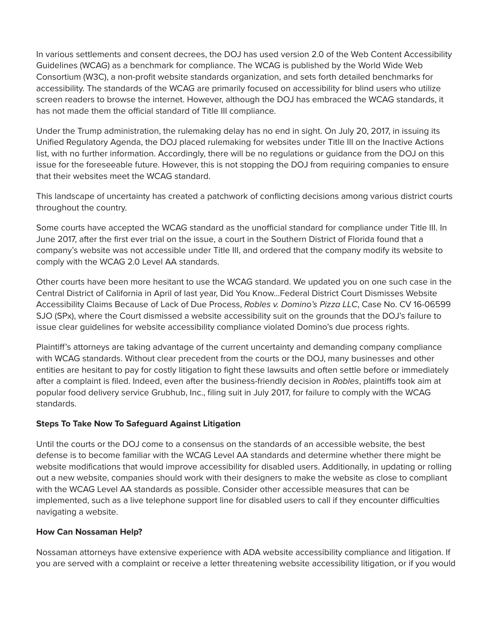In various settlements and consent decrees, the DOJ has used version 2.0 of the Web Content Accessibility Guidelines (WCAG) as a benchmark for compliance. The WCAG is published by the World Wide Web Consortium (W3C), a non-profit website standards organization, and sets forth detailed benchmarks for accessibility. The standards of the WCAG are primarily focused on accessibility for blind users who utilize screen readers to browse the internet. However, although the DOJ has embraced the WCAG standards, it has not made them the official standard of Title III compliance.

Under the Trump administration, the rulemaking delay has no end in sight. On July 20, 2017, in issuing its Unified Regulatory Agenda, the DOJ placed rulemaking for websites under Title III on the Inactive Actions list, with no further information. Accordingly, there will be no regulations or guidance from the DOJ on this issue for the foreseeable future. However, this is not stopping the DOJ from requiring companies to ensure that their websites meet the WCAG standard.

This landscape of uncertainty has created a patchwork of conflicting decisions among various district courts throughout the country.

Some courts have accepted the WCAG standard as the unofficial standard for compliance under Title III. In June 2017, after the first ever trial on the issue, a court in the Southern District of Florida found that a company's website was not accessible under Title III, and ordered that the company modify its website to comply with the WCAG 2.0 Level AA standards.

Other courts have been more hesitant to use the WCAG standard. We updated you on one such case in the Central District of California in April of last year, Did You Know…Federal District Court Dismisses Website Accessibility Claims Because of Lack of Due Process, *Robles v. Domino's Pizza LLC*, Case No. CV 16-06599 SJO (SPx), where the Court dismissed a website accessibility suit on the grounds that the DOJ's failure to issue clear guidelines for website accessibility compliance violated Domino's due process rights.

Plaintiff's attorneys are taking advantage of the current uncertainty and demanding company compliance with WCAG standards. Without clear precedent from the courts or the DOJ, many businesses and other entities are hesitant to pay for costly litigation to fight these lawsuits and often settle before or immediately after a complaint is filed. Indeed, even after the business-friendly decision in *Robles*, plaintiffs took aim at popular food delivery service Grubhub, Inc., filing suit in July 2017, for failure to comply with the WCAG standards.

### **Steps To Take Now To Safeguard Against Litigation**

Until the courts or the DOJ come to a consensus on the standards of an accessible website, the best defense is to become familiar with the WCAG Level AA standards and determine whether there might be website modifications that would improve accessibility for disabled users. Additionally, in updating or rolling out a new website, companies should work with their designers to make the website as close to compliant with the WCAG Level AA standards as possible. Consider other accessible measures that can be implemented, such as a live telephone support line for disabled users to call if they encounter difficulties navigating a website.

## **How Can Nossaman Help?**

Nossaman attorneys have extensive experience with ADA website accessibility compliance and litigation. If you are served with a complaint or receive a letter threatening website accessibility litigation, or if you would